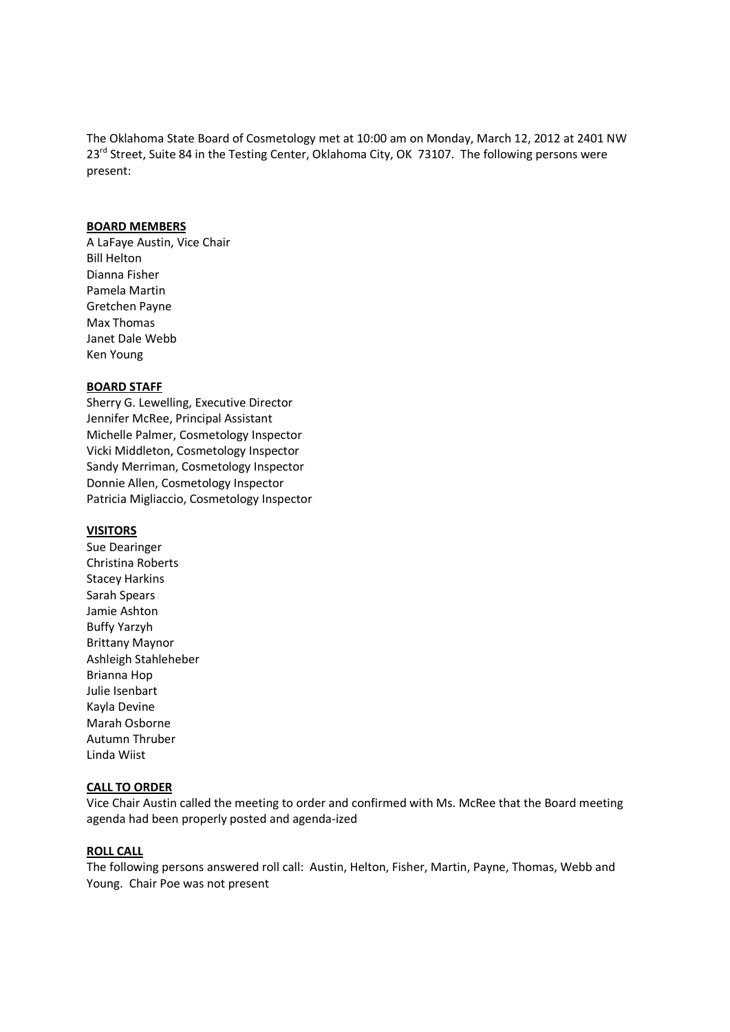The Oklahoma State Board of Cosmetology met at 10:00 am on Monday, March 12, 2012 at 2401 NW 23<sup>rd</sup> Street, Suite 84 in the Testing Center, Oklahoma City, OK 73107. The following persons were present:

### **BOARD MEMBERS**

A LaFaye Austin, Vice Chair Bill Helton Dianna Fisher Pamela Martin Gretchen Payne Max Thomas Janet Dale Webb Ken Young

#### **BOARD STAFF**

Sherry G. Lewelling, Executive Director Jennifer McRee, Principal Assistant Michelle Palmer, Cosmetology Inspector Vicki Middleton, Cosmetology Inspector Sandy Merriman, Cosmetology Inspector Donnie Allen, Cosmetology Inspector Patricia Migliaccio, Cosmetology Inspector

#### **VISITORS**

Sue Dearinger Christina Roberts Stacey Harkins Sarah Spears Jamie Ashton Buffy Yarzyh Brittany Maynor Ashleigh Stahleheber Brianna Hop Julie Isenbart Kayla Devine Marah Osborne Autumn Thruber Linda Wiist

#### **CALL TO ORDER**

Vice Chair Austin called the meeting to order and confirmed with Ms. McRee that the Board meeting agenda had been properly posted and agenda-ized

#### **ROLL CALL**

The following persons answered roll call: Austin, Helton, Fisher, Martin, Payne, Thomas, Webb and Young. Chair Poe was not present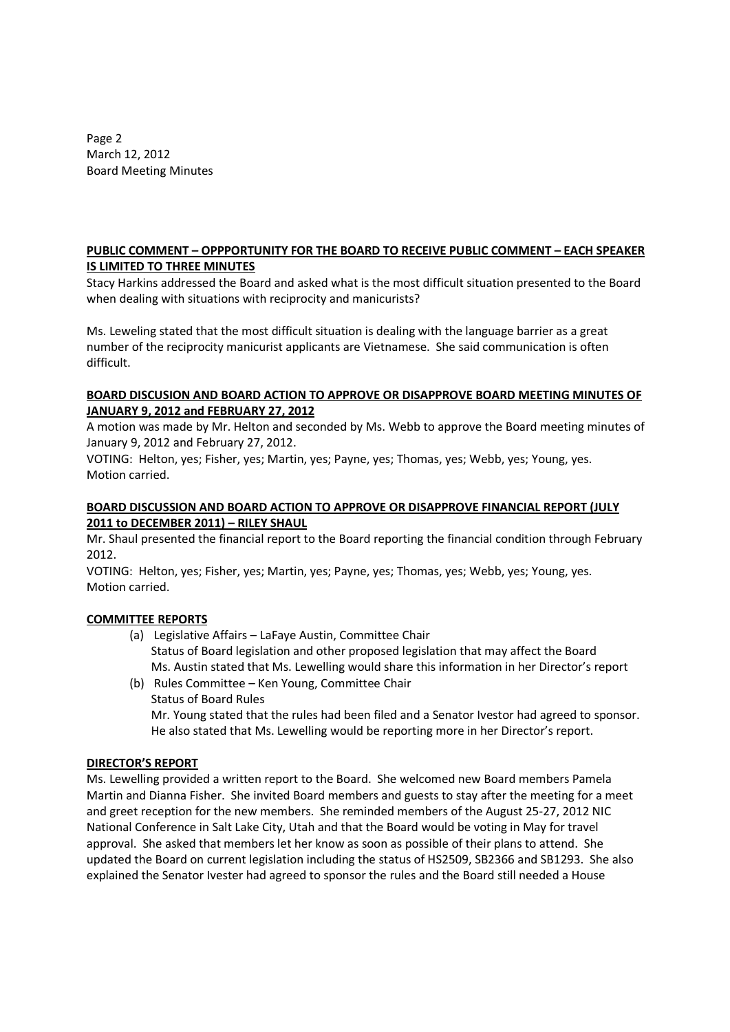Page 2 March 12, 2012 Board Meeting Minutes

# **PUBLIC COMMENT – OPPPORTUNITY FOR THE BOARD TO RECEIVE PUBLIC COMMENT – EACH SPEAKER IS LIMITED TO THREE MINUTES**

Stacy Harkins addressed the Board and asked what is the most difficult situation presented to the Board when dealing with situations with reciprocity and manicurists?

Ms. Leweling stated that the most difficult situation is dealing with the language barrier as a great number of the reciprocity manicurist applicants are Vietnamese. She said communication is often difficult.

## **BOARD DISCUSION AND BOARD ACTION TO APPROVE OR DISAPPROVE BOARD MEETING MINUTES OF JANUARY 9, 2012 and FEBRUARY 27, 2012**

A motion was made by Mr. Helton and seconded by Ms. Webb to approve the Board meeting minutes of January 9, 2012 and February 27, 2012.

VOTING: Helton, yes; Fisher, yes; Martin, yes; Payne, yes; Thomas, yes; Webb, yes; Young, yes. Motion carried.

## **BOARD DISCUSSION AND BOARD ACTION TO APPROVE OR DISAPPROVE FINANCIAL REPORT (JULY 2011 to DECEMBER 2011) – RILEY SHAUL**

Mr. Shaul presented the financial report to the Board reporting the financial condition through February 2012.

VOTING: Helton, yes; Fisher, yes; Martin, yes; Payne, yes; Thomas, yes; Webb, yes; Young, yes. Motion carried.

# **COMMITTEE REPORTS**

- (a) Legislative Affairs LaFaye Austin, Committee Chair Status of Board legislation and other proposed legislation that may affect the Board Ms. Austin stated that Ms. Lewelling would share this information in her Director's report
- (b) Rules Committee Ken Young, Committee Chair Status of Board Rules Mr. Young stated that the rules had been filed and a Senator Ivestor had agreed to sponsor. He also stated that Ms. Lewelling would be reporting more in her Director's report.

## **DIRECTOR'S REPORT**

Ms. Lewelling provided a written report to the Board. She welcomed new Board members Pamela Martin and Dianna Fisher. She invited Board members and guests to stay after the meeting for a meet and greet reception for the new members. She reminded members of the August 25-27, 2012 NIC National Conference in Salt Lake City, Utah and that the Board would be voting in May for travel approval. She asked that members let her know as soon as possible of their plans to attend. She updated the Board on current legislation including the status of HS2509, SB2366 and SB1293. She also explained the Senator Ivester had agreed to sponsor the rules and the Board still needed a House